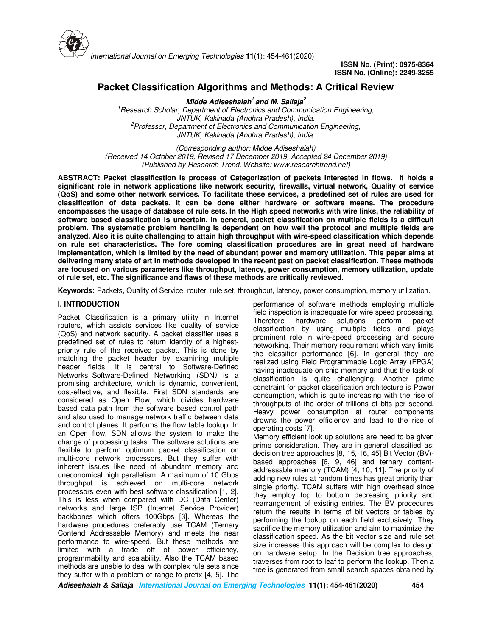

# **Packet Classification Algorithms and Methods: A Critical Review**

**Midde Adiseshaiah<sup>1</sup>and M. Sailaja<sup>2</sup>** *<sup>1</sup>Research Scholar, Department of Electronics and Communication Engineering, JNTUK, Kakinada (Andhra Pradesh), India. <sup>2</sup>Professor, Department of Electronics and Communication Engineering, JNTUK, Kakinada (Andhra Pradesh), India.*

*(Corresponding author: Midde Adiseshaiah) (Received 14 October 2019, Revised 17 December 2019, Accepted 24 December 2019) (Published by Research Trend, Website: www.researchtrend.net)*

**ABSTRACT: Packet classification is process of Categorization of packets interested in flows. It holds a significant role in network applications like network security, firewalls, virtual network, Quality of service (QoS) and some other network services. To facilitate these services, a predefined set of rules are used for classification of data packets. It can be done either hardware or software means. The procedure encompasses the usage of database of rule sets. In the High speed networks with wire links, the reliability of software based classification is uncertain. In general, packet classification on multiple fields is a difficult problem. The systematic problem handling is dependent on how well the protocol and multiple fields are analyzed. Also it is quite challenging to attain high throughput with wire-speed classification which depends on rule set characteristics. The fore coming classification procedures are in great need of hardware implementation, which is limited by the need of abundant power and memory utilization. This paper aims at delivering many state of art in methods developed in the recent past on packet classification. These methods are focused on various parameters like throughput, latency, power consumption, memory utilization, update of rule set, etc. The significance and flaws of these methods are critically reviewed.** 

**Keywords:** Packets, Quality of Service, router, rule set, throughput, latency, power consumption, memory utilization.

#### **I. INTRODUCTION**

Packet Classification is a primary utility in Internet routers, which assists services like quality of service (QoS) and network security. A packet classifier uses a predefined set of rules to return identity of a highestpriority rule of the received packet. This is done by matching the packet header by examining multiple header fields. It is central to Software-Defined Networks. Software-Defined Networking (SDN*)* is a promising architecture, which is dynamic, convenient, cost-effective, and flexible. First SDN standards are considered as Open Flow, which divides hardware based data path from the software based control path and also used to manage network traffic between data and control planes. It performs the flow table lookup. In an Open flow, SDN allows the system to make the change of processing tasks. The software solutions are flexible to perform optimum packet classification on multi-core network processors. But they suffer with inherent issues like need of abundant memory and uneconomical high parallelism. A maximum of 10 Gbps throughput is achieved on multi-core network processors even with best software classification [1, 2]. This is less when compared with DC (Data Center) networks and large ISP (Internet Service Provider) backbones which offers 100Gbps [3]. Whereas the hardware procedures preferably use TCAM (Ternary Contend Addressable Memory) and meets the near performance to wire-speed. But these methods are limited with a trade off of power efficiency, programmability and scalability. Also the TCAM based methods are unable to deal with complex rule sets since they suffer with a problem of range to prefix [4, 5]. The

performance of software methods employing multiple field inspection is inadequate for wire speed processing. Therefore hardware solutions perform packet classification by using multiple fields and plays prominent role in wire-speed processing and secure networking. Their memory requirement which vary limits the classifier performance [6]. In general they are realized using Field Programmable Logic Array (FPGA) having inadequate on chip memory and thus the task of classification is quite challenging. Another prime constraint for packet classification architecture is Power consumption, which is quite increasing with the rise of throughputs of the order of trillions of bits per second. Heavy power consumption at router components drowns the power efficiency and lead to the rise of operating costs [7].

Memory efficient look up solutions are need to be given prime consideration. They are in general classified as: decision tree approaches [8, 15, 16, 45] Bit Vector (BV) based approaches [6, 9, 46] and ternary contentaddressable memory (TCAM) [4, 10, 11]. The priority of adding new rules at random times has great priority than single priority. TCAM suffers with high overhead since they employ top to bottom decreasing priority and rearrangement of existing entries. The BV procedures return the results in terms of bit vectors or tables by performing the lookup on each field exclusively. They sacrifice the memory utilization and aim to maximize the classification speed. As the bit vector size and rule set size increases this approach will be complex to design on hardware setup. In the Decision tree approaches, traverses from root to leaf to perform the lookup. Then a tree is generated from small search spaces obtained by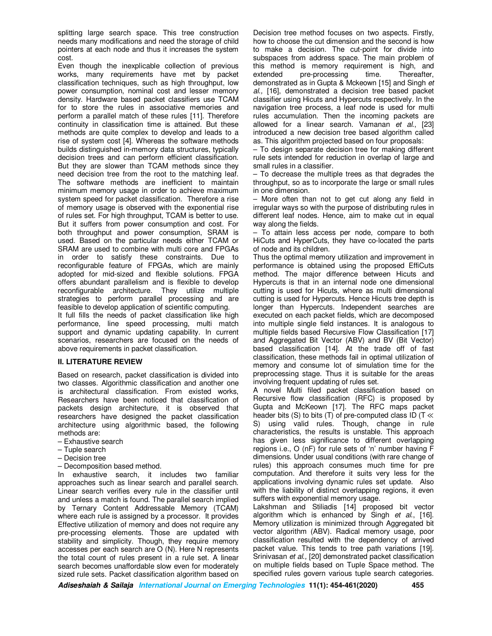splitting large search space. This tree construction needs many modifications and need the storage of child pointers at each node and thus it increases the system cost.

Even though the inexplicable collection of previous works, many requirements have met by packet classification techniques, such as high throughput, low power consumption, nominal cost and lesser memory density. Hardware based packet classifiers use TCAM for to store the rules in associative memories and perform a parallel match of these rules [11]. Therefore continuity in classification time is attained. But these methods are quite complex to develop and leads to a rise of system cost [4]. Whereas the software methods builds distinguished in-memory data structures, typically decision trees and can perform efficient classification. But they are slower than TCAM methods since they need decision tree from the root to the matching leaf. The software methods are inefficient to maintain minimum memory usage in order to achieve maximum system speed for packet classification. Therefore a rise of memory usage is observed with the exponential rise of rules set. For high throughput, TCAM is better to use. But it suffers from power consumption and cost. For both throughput and power consumption, SRAM is used. Based on the particular needs either TCAM or SRAM are used to combine with multi core and FPGAs in order to satisfy these constraints. Due to reconfigurable feature of FPGAs, which are mainly adopted for mid-sized and flexible solutions. FPGA offers abundant parallelism and is flexible to develop reconfigurable architecture. They utilize multiple strategies to perform parallel processing and are feasible to develop application of scientific computing.

It full fills the needs of packet classification like high performance, line speed processing, multi match support and dynamic updating capability. In current scenarios, researchers are focused on the needs of above requirements in packet classification.

### **II. LITERATURE REVIEW**

Based on research, packet classification is divided into two classes. Algorithmic classification and another one is architectural classification. From existed works, Researchers have been noticed that classification of packets design architecture, it is observed that researchers have designed the packet classification architecture using algorithmic based, the following methods are:

- Exhaustive search
- Tuple search
- Decision tree
- Decomposition based method.

In exhaustive search, it includes two familiar approaches such as linear search and parallel search. Linear search verifies every rule in the classifier until and unless a match is found. The parallel search implied by Ternary Content Addressable Memory (TCAM) where each rule is assigned by a processor. It provides Effective utilization of memory and does not require any pre-processing elements. Those are updated with stability and simplicity. Though, they require memory accesses per each search are O (N). Here N represents the total count of rules present in a rule set. A linear search becomes unaffordable slow even for moderately sized rule sets. Packet classification algorithm based on

Decision tree method focuses on two aspects. Firstly, how to choose the cut dimension and the second is how to make a decision. The cut-point for divide into subspaces from address space. The main problem of this method is memory requirement is high, and extended pre-processing time. Thereafter, demonstrated as in Gupta & Mckeown [15] and Singh *et al.,* [16], demonstrated a decision tree based packet classifier using Hicuts and Hypercuts respectively. In the navigation tree process, a leaf node is used for multi rules accumulation. Then the incoming packets are allowed for a linear search. Vamanan *et al*., [23] introduced a new decision tree based algorithm called as. This algorithm projected based on four proposals:

– To design separate decision tree for making different rule sets intended for reduction in overlap of large and small rules in a classifier.

– To decrease the multiple trees as that degrades the throughput, so as to incorporate the large or small rules in one dimension.

– More often than not to get cut along any field in irregular ways so with the purpose of distributing rules in different leaf nodes. Hence, aim to make cut in equal way along the fields.

– To attain less access per node, compare to both HiCuts and HyperCuts, they have co-located the parts of node and its children.

Thus the optimal memory utilization and improvement in performance is obtained using the proposed EffiCuts method. The major difference between Hicuts and Hypercuts is that in an internal node one dimensional cutting is used for Hicuts, where as multi dimensional cutting is used for Hypercuts. Hence Hicuts tree depth is longer than Hypercuts. Independent searches are executed on each packet fields, which are decomposed into multiple single field instances. It is analogous to multiple fields based Recursive Flow Classification [17] and Aggregated Bit Vector (ABV) and BV (Bit Vector) based classification [14]. At the trade off of fast classification, these methods fail in optimal utilization of memory and consume lot of simulation time for the preprocessing stage. Thus it is suitable for the areas involving frequent updating of rules set.

A novel Multi filed packet classification based on Recursive flow classification (RFC) is proposed by Gupta and McKeown [17]. The RFC maps packet header bits (S) to bits (T) of pre-computed class ID (T ≪ S) using valid rules. Though, change in rule characteristics, the results is unstable. This approach has given less significance to different overlapping regions i.e., O (nF) for rule sets of 'n' number having F dimensions. Under usual conditions (with rare change of rules) this approach consumes much time for pre computation. And therefore it suits very less for the applications involving dynamic rules set update. Also with the liability of distinct overlapping regions, it even suffers with exponential memory usage.

Lakshman and Stiliadis [14] proposed bit vector algorithm which is enhanced by Singh *et al*., [16]. Memory utilization is minimized through Aggregated bit vector algorithm (ABV). Radical memory usage, poor classification resulted with the dependency of arrived packet value. This tends to tree path variations [19]. Srinivasan *et al.,* [20] demonstrated packet classification on multiple fields based on Tuple Space method. The specified rules govern various tuple search categories.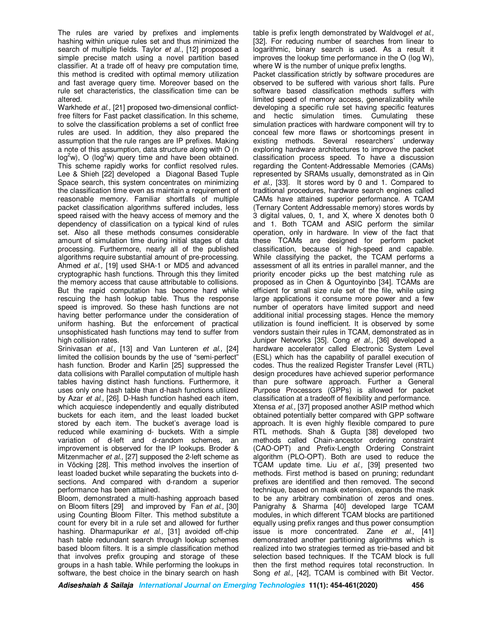The rules are varied by prefixes and implements hashing within unique rules set and thus minimized the search of multiple fields. Taylor *et al*., [12] proposed a simple precise match using a novel partition based classifier. At a trade off of heavy pre computation time, this method is credited with optimal memory utilization and fast average query time. Moreover based on the rule set characteristics, the classification time can be altered.

Warkhede *et al.,* [21] proposed two-dimensional conflictfree filters for Fast packet classification. In this scheme, to solve the classification problems a set of conflict free rules are used. In addition, they also prepared the assumption that the rule ranges are IP prefixes. Making a note of this assumption, data structure along with O (n  $log^2 w$ , O ( $log^2 w$ ) query time and have been obtained. This scheme rapidly works for conflict resolved rules. Lee & Shieh [22] developed a Diagonal Based Tuple Space search, this system concentrates on minimizing the classification time even as maintain a requirement of reasonable memory. Familiar shortfalls of multiple packet classification algorithms suffered includes, less speed raised with the heavy access of memory and the dependency of classification on a typical kind of rules set. Also all these methods consumes considerable amount of simulation time during initial stages of data processing. Furthermore, nearly all of the published algorithms require substantial amount of pre-processing. Ahmed *et al.,* [19] used SHA-1 or MD5 and advanced cryptographic hash functions. Through this they limited the memory access that cause attributable to collisions. But the rapid computation has become hard while rescuing the hash lookup table. Thus the response speed is improved. So these hash functions are not having better performance under the consideration of uniform hashing. But the enforcement of practical unsophisticated hash functions may tend to suffer from high collision rates.

Srinivasan *et al.,* [13] and Van Lunteren *et al.,* [24] limited the collision bounds by the use of "semi-perfect" hash function. Broder and Karlin [25] suppressed the data collisions with Parallel computation of multiple hash tables having distinct hash functions. Furthermore, it uses only one hash table than d-hash functions utilized by Azar *et al.,* [26]. D-Hash function hashed each item, which acquiesce independently and equally distributed buckets for each item, and the least loaded bucket stored by each item. The bucket's average load is reduced while examining d- buckets. With a simple variation of d-left and d-random schemes, an improvement is observed for the IP lookups. Broder & Mitzenmacher *et al.,* [27] supposed the 2-left scheme as in Vöcking [28]. This method involves the insertion of least loaded bucket while separating the buckets into dsections. And compared with d-random a superior performance has been attained.

Bloom, demonstrated a multi-hashing approach based on Bloom filters [29] and improved by Fan *et al.,* [30] using Counting Bloom Filter. This method substitute a count for every bit in a rule set and allowed for further hashing. Dharmapurikar *et al.,* [31] avoided off-chip hash table redundant search through lookup schemes based bloom filters. It is a simple classification method that involves prefix grouping and storage of these groups in a hash table. While performing the lookups in software, the best choice in the binary search on hash

table is prefix length demonstrated by Waldvogel *et al.,* [32]. For reducing number of searches from linear to logarithmic, binary search is used. As a result it improves the lookup time performance in the O (log W), where W is the number of unique prefix lengths.

Packet classification strictly by software procedures are observed to be suffered with various short falls. Pure software based classification methods suffers with limited speed of memory access, generalizability while developing a specific rule set having specific features and hectic simulation times. Cumulating these simulation practices with hardware component will try to conceal few more flaws or shortcomings present in existing methods. Several researchers' underway exploring hardware architectures to improve the packet classification process speed. To have a discussion regarding the Content-Addressable Memories (CAMs) represented by SRAMs usually, demonstrated as in Qin *et al.,* [33]. It stores word by 0 and 1. Compared to traditional procedures, hardware search engines called CAMs have attained superior performance. A TCAM (Ternary Content Addressable memory) stores words by 3 digital values, 0, 1, and X, where X denotes both 0 and 1. Both TCAM and ASIC perform the similar operation, only in hardware. In view of the fact that these TCAMs are designed for perform packet classification, because of high-speed and capable. While classifying the packet, the TCAM performs a assessment of all its entries in parallel manner, and the priority encoder picks up the best matching rule as proposed as in Chen & Oguntoyinbo [34]. TCAMs are efficient for small size rule set of the file, while using large applications it consume more power and a few number of operators have limited support and need additional initial processing stages. Hence the memory utilization is found inefficient. It is observed by some vendors sustain their rules in TCAM, demonstrated as in Juniper Networks [35]. Cong *et al.,* [36] developed a hardware accelerator called Electronic System Level (ESL) which has the capability of parallel execution of codes. Thus the realized Register Transfer Level (RTL) design procedures have achieved superior performance than pure software approach. Further a General Purpose Processors (GPPs) is allowed for packet classification at a tradeoff of flexibility and performance. Xtensa *et al.,* [37] proposed another ASIP method which obtained potentially better compared with GPP software approach. It is even highly flexible compared to pure RTL methods. Shah & Gupta [38] developed two methods called Chain-ancestor ordering constraint (CAO-OPT) and Prefix-Length Ordering Constraint algorithm (PLO-OPT). Both are used to reduce the TCAM update time. Liu *et al.,* [39] presented two methods. First method is based on pruning; redundant prefixes are identified and then removed. The second technique, based on mask extension, expands the mask to be any arbitrary combination of zeros and ones. Panigrahy & Sharma [40] developed large TCAM modules, in which different TCAM blocks are partitioned equally using prefix ranges and thus power consumption issue is more concentrated. Zane *et al.,* [41] demonstrated another partitioning algorithms which is realized into two strategies termed as trie-based and bit selection based techniques. If the TCAM block is full then the first method requires total reconstruction. In Song *et al.*, [42], TCAM is combined with Bit Vector.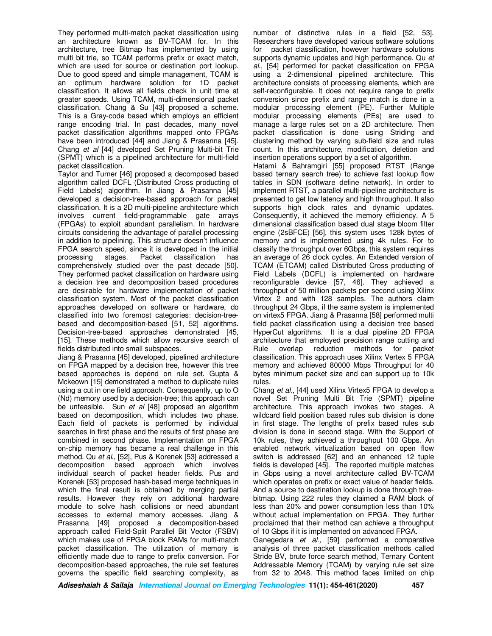They performed multi-match packet classification using an architecture known as BV-TCAM for. In this architecture, tree Bitmap has implemented by using multi bit trie, so TCAM performs prefix or exact match, which are used for source or destination port lookup. Due to good speed and simple management, TCAM is an optimum hardware solution for 1D packet classification. It allows all fields check in unit time at greater speeds. Using TCAM, multi-dimensional packet classification. Chang & Su [43] proposed a scheme. This is a Gray-code based which employs an efficient range encoding trial. In past decades, many novel packet classification algorithms mapped onto FPGAs have been introduced [44] and Jiang & Prasanna [45]. Chang *et al* [44] developed Set Pruning Multi-bit Trie (SPMT) which is a pipelined architecture for multi-field packet classification.

Taylor and Turner [46] proposed a decomposed based algorithm called DCFL (Distributed Cross producting of Field Labels) algorithm. In Jiang & Prasanna [45] developed a decision-tree-based approach for packet classification. It is a 2D multi-pipeline architecture which involves current field-programmable gate arrays (FPGAs) to exploit abundant parallelism. In hardware circuits considering the advantage of parallel processing in addition to pipelining. This structure doesn't influence FPGA search speed, since it is developed in the initial processing stages. Packet classification has processing stages. Packet classification has comprehensively studied over the past decade [50]. They performed packet classification on hardware using a decision tree and decomposition based procedures are desirable for hardware implementation of packet classification system. Most of the packet classification approaches developed on software or hardware, do classified into two foremost categories: decision-treebased and decomposition-based [51, 52] algorithms. Decision-tree-based approaches demonstrated [45, [15]. These methods which allow recursive search of fields distributed into small subspaces.

Jiang & Prasanna [45] developed, pipelined architecture on FPGA mapped by a decision tree, however this tree based approaches is depend on rule set. Gupta & Mckeown [15] demonstrated a method to duplicate rules using a cut in one field approach. Consequently, up to O (Nd) memory used by a decision-tree; this approach can be unfeasible. Sun *et al* [48] proposed an algorithm based on decomposition, which includes two phase. Each field of packets is performed by individual searches in first phase and the results of first phase are combined in second phase. Implementation on FPGA on-chip memory has became a real challenge in this method. Qu *et al*., [52], Pus & Korenek [53] addressed a decomposition based approach which involves individual search of packet header fields. Pus and Korenek [53] proposed hash-based merge techniques in which the final result is obtained by merging partial results. However they rely on additional hardware module to solve hash collisions or need abundant accesses to external memory accesses. Jiang & Prasanna [49] proposed a decomposition-based approach called Field-Split Parallel Bit Vector (FSBV) which makes use of FPGA block RAMs for multi-match packet classification. The utilization of memory is efficiently made due to range to prefix conversion. For decomposition-based approaches, the rule set features governs the specific field searching complexity, as

number of distinctive rules in a field [52, 53]. Researchers have developed various software solutions for packet classification, however hardware solutions supports dynamic updates and high performance. Qu *et al.,* [54] performed for packet classification on FPGA using a 2-dimensional pipelined architecture. This architecture consists of processing elements, which are self-reconfigurable. It does not require range to prefix conversion since prefix and range match is done in a modular processing element (PE). Further Multiple modular processing elements (PEs) are used to manage a large rules set on a 2D architecture. Then packet classification is done using Striding and clustering method by varying sub-field size and rules count. In this architecture, modification, deletion and insertion operations support by a set of algorithm.

Hatami & Bahramgiri [55] proposed RTST (Range based ternary search tree) to achieve fast lookup flow tables in SDN (software define network). In order to implement RTST, a parallel multi-pipeline architecture is presented to get low latency and high throughput. It also supports high clock rates and dynamic updates. Consequently, it achieved the memory efficiency. A 5 dimensional classification based dual stage bloom filter engine (2sBFCE) [56], this system uses 128k bytes of memory and is implemented using 4k rules. For to classify the throughput over 6Gbps, this system requires an average of 26 clock cycles. An Extended version of TCAM (ETCAM) called Distributed Cross producting of Field Labels (DCFL) is implemented on hardware reconfigurable device [57, 46]. They achieved a throughput of 50 million packets per second using Xilinx Virtex 2 and with 128 samples. The authors claim throughput 24 Gbps, if the same system is implemented on virtex5 FPGA. Jiang & Prasanna [58] performed multi field packet classification using a decision tree based HyperCut algorithms. It is a dual pipeline 2D FPGA architecture that employed precision range cutting and<br>Rule overlap reduction methods for packet Rule overlap reduction methods classification. This approach uses Xilinx Vertex 5 FPGA memory and achieved 80000 Mbps Throughput for 40 bytes minimum packet size and can support up to 10k rules.

Chang *et al.*, [44] used Xilinx Virtex5 FPGA to develop a novel Set Pruning Multi Bit Trie (SPMT) pipeline architecture. This approach invokes two stages. A wildcard field position based rules sub division is done in first stage. The lengths of prefix based rules sub division is done in second stage. With the Support of 10k rules, they achieved a throughput 100 Gbps. An enabled network virtualization based on open flow switch is addressed [62] and an enhanced 12 tuple fields is developed [45]. The reported multiple matches in Gbps using a novel architecture called BV-TCAM which operates on prefix or exact value of header fields. And a source to destination lookup is done through treebitmap. Using 222 rules they claimed a RAM block of less than 20% and power consumption less than 10% without actual implementation on FPGA. They further proclaimed that their method can achieve a throughput of 10 Gbps if it is implemented on advanced FPGA.

Ganegedara *et al.,* [59] performed a comparative analysis of three packet classification methods called Stride BV, brute force search method, Ternary Content Addressable Memory (TCAM) by varying rule set size from 32 to 2048. This method faces limited on chip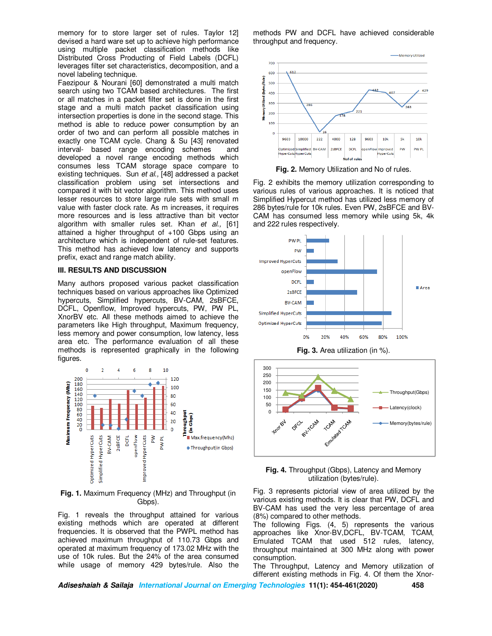memory for to store larger set of rules. Taylor 12] devised a hard ware set up to achieve high performance using multiple packet classification methods like Distributed Cross Producting of Field Labels (DCFL) leverages filter set characteristics, decomposition, and a novel labeling technique.

Faezipour & Nourani [60] demonstrated a multi match search using two TCAM based architectures. The first or all matches in a packet filter set is done in the first stage and a multi match packet classification using intersection properties is done in the second stage. This method is able to reduce power consumption by an order of two and can perform all possible matches in exactly one TCAM cycle. Chang & Su [43] renovated interval- based range encoding schemes and interval- based range encoding schemes developed a novel range encoding methods which consumes less TCAM storage space compare to existing techniques. Sun *et al.,* [48] addressed a packet classification problem using set intersections and compared it with bit vector algorithm. This method uses lesser resources to store large rule sets with small m value with faster clock rate. As m increases, it requires more resources and is less attractive than bit vector algorithm with smaller rules set. Khan *et al.,* [61] attained a higher throughput of +100 Gbps using an architecture which is independent of rule-set features. This method has achieved low latency and supports prefix, exact and range match ability.

### **III. RESULTS AND DISCUSSION**

Many authors proposed various packet classification techniques based on various approaches like Optimized hypercuts, Simplified hypercuts, BV-CAM, 2sBFCE, DCFL, Openflow, Improved hypercuts, PW, PW PL, XnorBV etc. All these methods aimed to achieve the parameters like High throughput, Maximum frequency, less memory and power consumption, low latency, less area etc. The performance evaluation of all these methods is represented graphically in the following figures.



**Fig. 1.** Maximum Frequency (MHz) and Throughput (in Gbps).

Fig. 1 reveals the throughput attained for various existing methods which are operated at different frequencies. It is observed that the PWPL method has achieved maximum throughput of 110.73 Gbps and operated at maximum frequency of 173.02 MHz with the use of 10k rules. But the 24% of the area consumed while usage of memory 429 bytes/rule. Also the methods PW and DCFL have achieved considerable throughput and frequency.



**Fig. 2.** Memory Utilization and No of rules.

Fig. 2 exhibits the memory utilization corresponding to various rules of various approaches. It is noticed that Simplified Hypercut method has utilized less memory of 286 bytes/rule for 10k rules. Even PW, 2sBFCE and BV-CAM has consumed less memory while using 5k, 4k and 222 rules respectively.



**Fig. 3.** Area utilization (in %).



**Fig. 4.** Throughput (Gbps), Latency and Memory utilization (bytes/rule).

Fig. 3 represents pictorial view of area utilized by the various existing methods. It is clear that PW, DCFL and BV-CAM has used the very less percentage of area (8%) compared to other methods.

The following Figs. (4, 5) represents the various approaches like Xnor-BV,DCFL, BV-TCAM, TCAM, Emulated TCAM that used 512 rules, latency, throughput maintained at 300 MHz along with power consumption.

The Throughput, Latency and Memory utilization of different existing methods in Fig. 4. Of them the Xnor-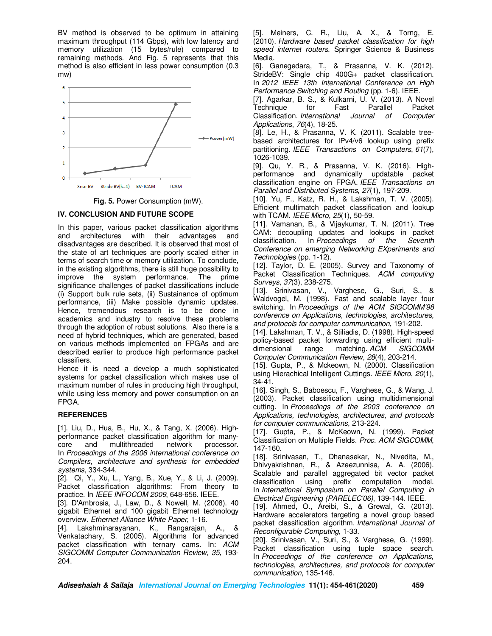BV method is observed to be optimum in attaining maximum throughput (114 Gbps), with low latency and memory utilization (15 bytes/rule) compared to remaining methods. And Fig. 5 represents that this method is also efficient in less power consumption (0.3 mw)





## **IV. CONCLUSION AND FUTURE SCOPE**

In this paper, various packet classification algorithms and architectures with their advantages and disadvantages are described. It is observed that most of the state of art techniques are poorly scaled either in terms of search time or memory utilization. To conclude, in the existing algorithms, there is still huge possibility to improve the system performance. The prime significance challenges of packet classifications include (i) Support bulk rule sets, (ii) Sustainance of optimum performance, (iii) Make possible dynamic updates. Hence, tremendous research is to be done in academics and industry to resolve these problems through the adoption of robust solutions. Also there is a need of hybrid techniques, which are generated, based on various methods implemented on FPGAs and are described earlier to produce high performance packet classifiers.

Hence it is need a develop a much sophisticated systems for packet classification which makes use of maximum number of rules in producing high throughput, while using less memory and power consumption on an FPGA.

### **REFERENCES**

[1]. Liu, D., Hua, B., Hu, X., & Tang, X. (2006). Highperformance packet classification algorithm for manycore and multithreaded network processor. In *Proceedings of the 2006 international conference on Compilers, architecture and synthesis for embedded systems*, 334-344.

[2]. Qi, Y., Xu, L., Yang, B., Xue, Y., & Li, J. (2009). Packet classification algorithms: From theory to practice. In *IEEE INFOCOM 2009*, 648-656. IEEE.

[3]. D'Ambrosia, J., Law, D., & Nowell, M. (2008). 40 gigabit Ethernet and 100 gigabit Ethernet technology overview. *Ethernet Alliance White Paper*, 1-16.

[4]. Lakshminarayanan, K., Rangarajan, A., & Venkatachary, S. (2005). Algorithms for advanced packet classification with ternary cams. In: *ACM SIGCOMM Computer Communication Review, 35*, 193- 204.

[5]. Meiners, C. R., Liu, A. X., & Torng, E. (2010). *Hardware based packet classification for high speed internet routers*. Springer Science & Business Media.

[6]. Ganegedara, T., & Prasanna, V. K. (2012). StrideBV: Single chip 400G+ packet classification. In *2012 IEEE 13th International Conference on High Performance Switching and Routing* (pp. 1-6). IEEE.

[7]. Agarkar, B. S., & Kulkarni, U. V. (2013). A Novel Technique for Fast Parallel Packet Classification. *International Journal of Computer Applications*, *76*(4), 18-25.

[8]. Le, H., & Prasanna, V. K. (2011). Scalable treebased architectures for IPv4/v6 lookup using prefix partitioning. *IEEE Transactions on Computers*, *61*(7), 1026-1039.

[9]. Qu, Y. R., & Prasanna, V. K. (2016). Highperformance and dynamically updatable packet classification engine on FPGA. *IEEE Transactions on Parallel and Distributed Systems*, *27*(1), 197-209.

[10]. Yu, F., Katz, R. H., & Lakshman, T. V. (2005). Efficient multimatch packet classification and lookup with TCAM. *IEEE Micro*, *25*(1), 50-59.

[11]. Vamanan, B., & Vijaykumar, T. N. (2011). Tree CAM: decoupling updates and lookups in packet classification. In Proceedings of the Seventh classification. In *Proceedings of the Seventh Conference on emerging Networking EXperiments and Technologies* (pp. 1-12).

[12]. Taylor, D. E. (2005). Survey and Taxonomy of Packet Classification Techniques. *ACM computing Surveys*, *37*(3), 238-275.

[13]. Srinivasan, V., Varghese, G., Suri, S., & Waldvogel, M. (1998). Fast and scalable layer four switching. In *Proceedings of the ACM SIGCOMM'98 conference on Applications, technologies, architectures, and protocols for computer communication*, 191-202.

[14]. Lakshman, T. V., & Stiliadis, D. (1998). High-speed policy-based packet forwarding using efficient multi-<br>dimensional range matching ACM SIGCOMM matching. ACM *Computer Communication Review*, *28*(4), 203-214.

[15]. Gupta, P., & Mckeown, N. (2000). Classification using Hierachical Intelligent Cuttings. *IEEE Micro*, *20*(1), 34-41.

[16]. Singh, S., Baboescu, F., Varghese, G., & Wang, J. (2003). Packet classification using multidimensional cutting. In *Proceedings of the 2003 conference on Applications, technologies, architectures, and protocols for computer communications*, 213-224.

[17]. Gupta, P., & McKeown, N. (1999). Packet Classification on Multiple Fields. *Proc. ACM SIGCOMM*, 147-160.

[18]. Srinivasan, T., Dhanasekar, N., Nivedita, M., Dhivyakrishnan, R., & Azeezunnisa, A. A. (2006). Scalable and parallel aggregated bit vector packet classification using prefix computation model. In *International Symposium on Parallel Computing in Electrical Engineering (PARELEC'06)*, 139-144. IEEE.

[19]. Ahmed, O., Areibi, S., & Grewal, G. (2013). Hardware accelerators targeting a novel group based packet classification algorithm. *International Journal of Reconfigurable Computing*, 1-33.

[20]. Srinivasan, V., Suri, S., & Varghese, G. (1999). Packet classification using tuple space search. In *Proceedings of the conference on Applications, technologies, architectures, and protocols for computer communication*, 135-146.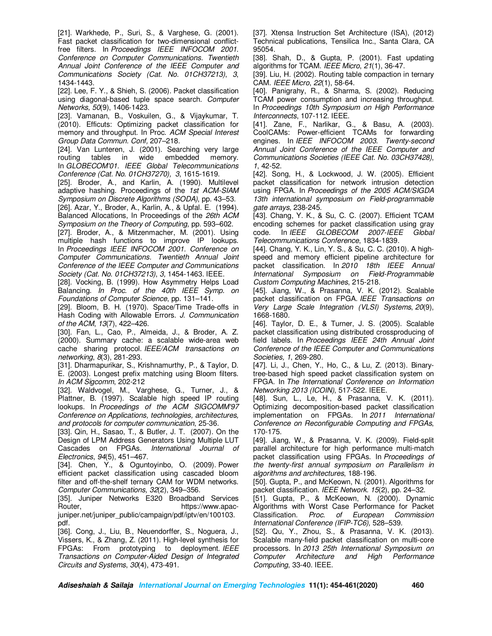[21]. Warkhede, P., Suri, S., & Varghese, G. (2001). Fast packet classification for two-dimensional conflictfree filters. In *Proceedings IEEE INFOCOM 2001. Conference on Computer Communications. Twentieth Annual Joint Conference of the IEEE Computer and Communications Society (Cat. No. 01CH37213)*, *3*, 1434-1443.

[22]. Lee, F. Y., & Shieh, S. (2006). Packet classification using diagonal-based tuple space search. *Computer Networks, 50*(9), 1406-1423.

[23]. Vamanan, B., Voskuilen, G., & Vijaykumar, T. (2010). Efficuts: Optimizing packet classification for memory and throughput. In Proc. *ACM Special Interest Group Data Commun. Conf,* 207–218.

[24]. Van Lunteren, J. (2001). Searching very large routing tables in wide embedded memory. In *GLOBECOM'01. IEEE Global Telecommunications Conference (Cat. No. 01CH37270), 3*, 1615-1619.

[25]. Broder, A., and Karlin, A. (1990). Multilevel adaptive hashing. Proceedings of the *1st ACM-SIAM Symposium on Discrete Algorithms (SODA)*, pp. 43–53.

[26]. Azar, Y., Broder, A., Karlin, A., & Upfal. E. (1994). Balanced Allocations, In Proceedings of the *26th ACM Symposium on the Theory of Computing,* pp. 593–602.

[27]. Broder, A., & Mitzenmacher, M. (2001). Using multiple hash functions to improve IP lookups. In *Proceedings IEEE INFOCOM 2001. Conference on Computer Communications. Twentieth Annual Joint Conference of the IEEE Computer and Communications Society (Cat. No. 01CH37213)*, *3,* 1454-1463. IEEE.

[28]. Vocking, B. (1999). How Asymmetry Helps Load Balancing. *In Proc. of the 40th IEEE Symp. on Foundations of Computer Science*, pp. 131–141.

[29]. Bloom, B. H. (1970). Space/Time Trade-offs in Hash Coding with Allowable Errors. *J. Communication of the ACM*, *13*(7), 422–426.

[30]. Fan, L., Cao, P., Almeida, J., & Broder, A. Z. (2000). Summary cache: a scalable wide-area web cache sharing protocol. *IEEE/ACM transactions on networking*, *8*(3), 281-293.

[31]. Dharmapurikar, S., Krishnamurthy, P., & Taylor, D. E. (2003). Longest prefix matching using Bloom filters. *In ACM Sigcomm*, 202-212

[32]. Waldvogel, M., Varghese, G., Turner, J., & Plattner, B. (1997). Scalable high speed IP routing lookups. In *Proceedings of the ACM SIGCOMM'97 Conference on Applications, technologies, architectures, and protocols for computer communication*, 25-36.

[33]. Qin, H., Sasao, T., & Butler, J. T. (2007). On the Design of LPM Address Generators Using Multiple LUT Cascades on FPGAs. *International Journal of Electronics*, *94*(5), 451–467.

[34]. Chen, Y., & Oguntoyinbo, O. (2009). Power efficient packet classification using cascaded bloom filter and off-the-shelf ternary CAM for WDM networks. *Computer Communications, 32*(2), 349–356.

[35]. Juniper Networks E320 Broadband Services Router, https://www.apacjuniper.net/juniper\_public/campaign/pdf/iptv/en/100103. pdf.

[36]. Cong, J., Liu, B., Neuendorffer, S., Noguera, J., Vissers, K., & Zhang, Z. (2011). High-level synthesis for FPGAs: From prototyping to deployment. *IEEE Transactions on Computer-Aided Design of Integrated Circuits and Systems*, *30*(4), 473-491.

[37]. Xtensa Instruction Set Architecture (ISA), (2012) Technical publications, Tensilica Inc., Santa Clara, CA 95054.

[38]. Shah, D., & Gupta, P. (2001). Fast updating algorithms for TCAM. *IEEE Micro*, *21*(1), 36-47.

[39]. Liu, H. (2002). Routing table compaction in ternary CAM. *IEEE Micro*, *22*(1), 58-64.

[40]. Panigrahy, R., & Sharma, S. (2002). Reducing TCAM power consumption and increasing throughput. In *Proceedings 10th Symposium on High Performance Interconnects*, 107-112. IEEE.

[41]. Zane, F., Narlikar, G., & Basu, A. (2003). CoolCAMs: Power-efficient TCAMs for forwarding engines. In *IEEE INFOCOM 2003. Twenty-second Annual Joint Conference of the IEEE Computer and Communications Societies (IEEE Cat. No. 03CH37428)*, *1*, 42-52.

[42]. Song, H., & Lockwood, J. W. (2005). Efficient packet classification for network intrusion detection using FPGA. In *Proceedings of the 2005 ACM/SIGDA 13th international symposium on Field-programmable gate arrays*, 238-245.

[43]. Chang, Y. K., & Su, C. C. (2007). Efficient TCAM encoding schemes for packet classification using gray code. In *IEEE GLOBECOM 2007-IEEE Global Telecommunications Conference*, 1834-1839.

[44]. Chang, Y. K., Lin, Y. S., & Su, C. C. (2010). A highspeed and memory efficient pipeline architecture for packet classification. In *2010 18th IEEE Annual International Symposium on Field-Programmable Custom Computing Machines*, 215-218.

[45]. Jiang, W., & Prasanna, V. K. (2012). Scalable packet classification on FPGA. *IEEE Transactions on Very Large Scale Integration (VLSI) Systems*, *20*(9), 1668-1680.

[46]. Taylor, D. E., & Turner, J. S. (2005). Scalable packet classification using distributed crossproducing of field labels. In *Proceedings IEEE 24th Annual Joint Conference of the IEEE Computer and Communications Societies, 1*, 269-280.

[47]. Li, J., Chen, Y., Ho, C., & Lu, Z. (2013). Binarytree-based high speed packet classification system on FPGA. In *The International Conference on Information Networking 2013 (ICOIN)*, 517-522. IEEE.

[48]. Sun, L., Le, H., & Prasanna, V. K. (2011). Optimizing decomposition-based packet classification implementation on FPGAs. In *2011 International Conference on Reconfigurable Computing and FPGAs*, 170-175.

[49]. Jiang, W., & Prasanna, V. K. (2009). Field-split parallel architecture for high performance multi-match packet classification using FPGAs. In *Proceedings of the twenty-first annual symposium on Parallelism in algorithms and architectures*, 188-196.

[50]. Gupta, P., and McKeown, N. (2001). Algorithms for packet classification. *IEEE Network. 15*(2), pp. 24–32.

[51]. Gupta, P., & McKeown, N. (2000). Dynamic Algorithms with Worst Case Performance for Packet Classification. *Proc. of European Commission International Conference (IFIP-TC6),* 528–539.

[52]. Qu, Y., Zhou, S., & Prasanna, V. K. (2013). Scalable many-field packet classification on multi-core processors. In *2013 25th International Symposium on Computer Architecture and High Performance Computing*, 33-40. IEEE.